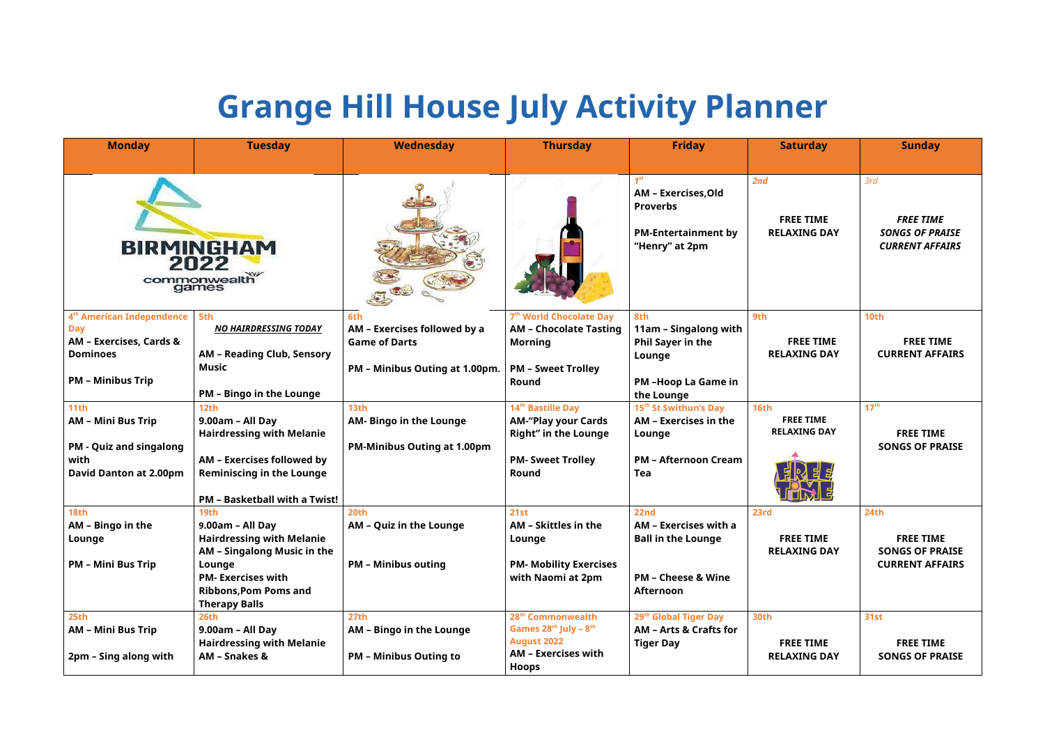## **Grange Hill House July Activity Planner**

| <b>Monday</b>                                                                                                                            | <b>Tuesday</b>                                                                                                                                                                            | Wednesday                                                                                     | <b>Thursday</b>                                                                                                                      | <b>Friday</b>                                                                                                     | <b>Saturday</b>                                        | <b>Sunday</b>                                                                       |
|------------------------------------------------------------------------------------------------------------------------------------------|-------------------------------------------------------------------------------------------------------------------------------------------------------------------------------------------|-----------------------------------------------------------------------------------------------|--------------------------------------------------------------------------------------------------------------------------------------|-------------------------------------------------------------------------------------------------------------------|--------------------------------------------------------|-------------------------------------------------------------------------------------|
|                                                                                                                                          | <b>BIRMINGHAM</b><br>2022<br>commonwealth                                                                                                                                                 |                                                                                               |                                                                                                                                      | 1 <sup>st</sup><br>AM - Exercises, Old<br><b>Proverbs</b><br><b>PM-Entertainment by</b><br>"Henry" at 2pm         | 2nd<br><b>FREE TIME</b><br><b>RELAXING DAY</b>         | 3rd<br><b>FREE TIME</b><br><b>SONGS OF PRAISE</b><br><b>CURRENT AFFAIRS</b>         |
| 4 <sup>th</sup> American Independence<br><b>Day</b><br><b>AM - Exercises, Cards &amp;</b><br><b>Dominoes</b><br><b>PM - Minibus Trip</b> | 5th<br><b>NO HAIRDRESSING TODAY</b><br><b>AM - Reading Club, Sensory</b><br>Music<br><b>PM - Bingo in the Lounge</b>                                                                      | 6th<br>AM - Exercises followed by a<br><b>Game of Darts</b><br>PM - Minibus Outing at 1.00pm. | 7 <sup>th</sup> World Chocolate Day<br><b>AM - Chocolate Tasting</b><br><b>Morning</b><br><b>PM - Sweet Trolley</b><br>Round         | 8th<br>11am – Singalong with<br><b>Phil Sayer in the</b><br>Lounge<br><b>PM-Hoop La Game in</b><br>the Lounge     | 9th<br><b>FREE TIME</b><br><b>RELAXING DAY</b>         | <b>10th</b><br><b>FREE TIME</b><br><b>CURRENT AFFAIRS</b>                           |
| 11 <sub>th</sub><br><b>AM - Mini Bus Trip</b><br><b>PM - Quiz and singalong</b><br>with<br><b>David Danton at 2.00pm</b>                 | <b>12th</b><br>9.00am - All Day<br><b>Hairdressing with Melanie</b><br>AM - Exercises followed by<br><b>Reminiscing in the Lounge</b><br><b>PM</b> - Basketball with a Twist!             | 13th<br><b>AM- Bingo in the Lounge</b><br><b>PM-Minibus Outing at 1.00pm</b>                  | 14 <sup>th</sup> Bastille Day<br><b>AM-"Play your Cards</b><br><b>Right" in the Lounge</b><br><b>PM- Sweet Trolley</b><br>Round      | 15 <sup>th</sup> St Swithun's Day<br>AM - Exercises in the<br>Lounge<br><b>PM - Afternoon Cream</b><br><b>Tea</b> | 16th<br><b>FREE TIME</b><br><b>RELAXING DAY</b>        | 17 <sup>th</sup><br><b>FREE TIME</b><br><b>SONGS OF PRAISE</b>                      |
| <b>18th</b><br>AM – Bingo in the<br>Lounge<br><b>PM - Mini Bus Trip</b>                                                                  | 19th<br>9.00am - All Day<br><b>Hairdressing with Melanie</b><br>AM - Singalong Music in the<br>Lounge<br><b>PM-Exercises with</b><br><b>Ribbons, Pom Poms and</b><br><b>Therapy Balls</b> | 20th<br>AM - Quiz in the Lounge<br><b>PM - Minibus outing</b>                                 | 21st<br>AM - Skittles in the<br>Lounge<br><b>PM- Mobility Exercises</b><br>with Naomi at 2pm                                         | 22nd<br>AM – Exercises with a<br><b>Ball in the Lounge</b><br><b>PM - Cheese &amp; Wine</b><br><b>Afternoon</b>   | 23rd<br><b>FREE TIME</b><br><b>RELAXING DAY</b>        | <b>24th</b><br><b>FREE TIME</b><br><b>SONGS OF PRAISE</b><br><b>CURRENT AFFAIRS</b> |
| 25th<br><b>AM - Mini Bus Trip</b><br>2pm – Sing along with                                                                               | <b>26th</b><br>9.00am - All Day<br><b>Hairdressing with Melanie</b><br><b>AM - Snakes &amp;</b>                                                                                           | 27th<br>AM - Bingo in the Lounge<br><b>PM - Minibus Outing to</b>                             | 28 <sup>th</sup> Commonwealth<br>Games $28^{th}$ July - $8^{th}$<br><b>August 2022</b><br><b>AM - Exercises with</b><br><b>Hoops</b> | 29 <sup>th</sup> Global Tiger Day<br><b>AM - Arts &amp; Crafts for</b><br><b>Tiger Day</b>                        | <b>30th</b><br><b>FREE TIME</b><br><b>RELAXING DAY</b> | 31st<br><b>FREE TIME</b><br><b>SONGS OF PRAISE</b>                                  |